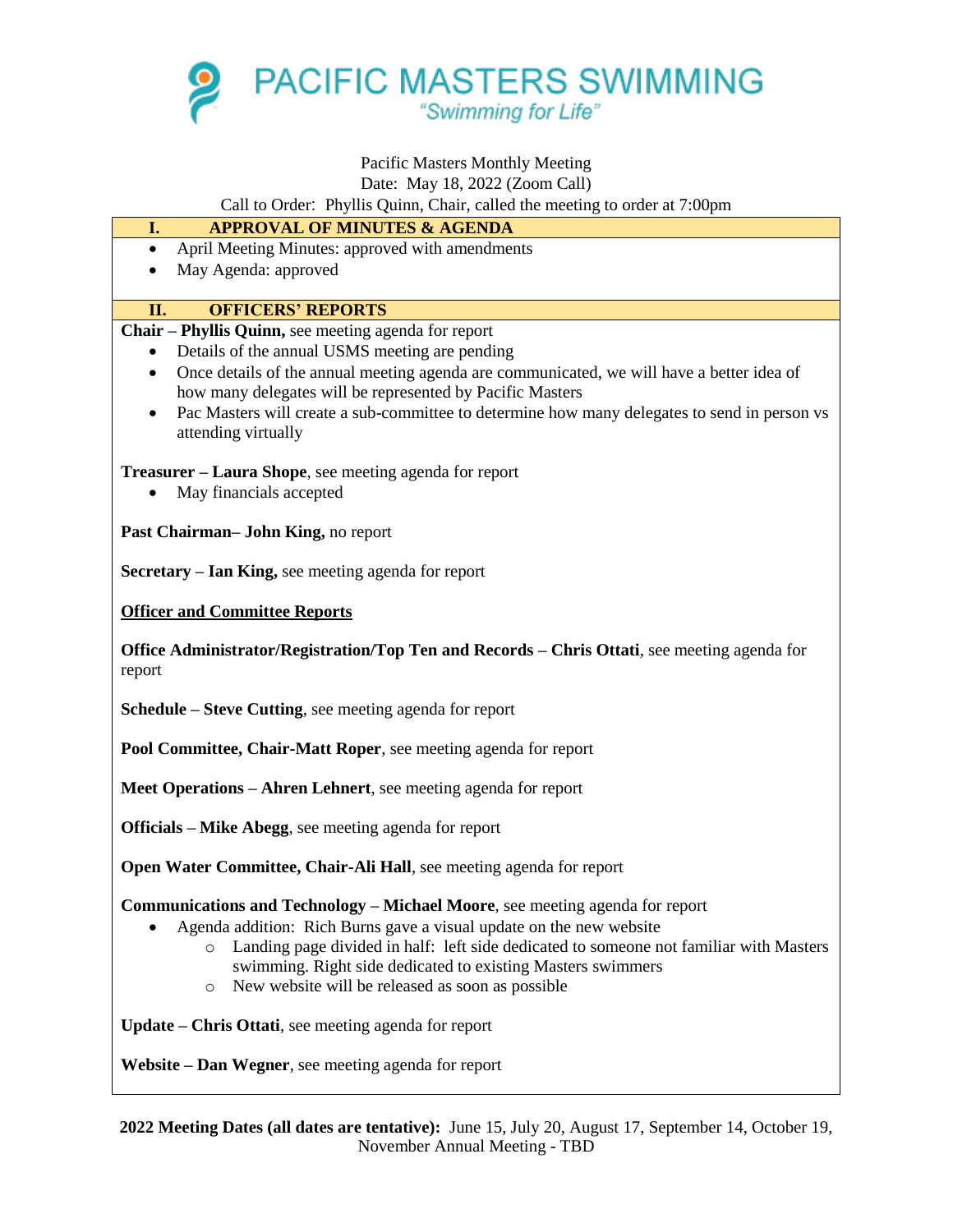

# Pacific Masters Monthly Meeting

#### Date: May 18, 2022 (Zoom Call)

Call to Order: Phyllis Quinn, Chair, called the meeting to order at 7:00pm

# **I. APPROVAL OF MINUTES & AGENDA**

- April Meeting Minutes: approved with amendments
- May Agenda: approved

## **II. OFFICERS' REPORTS**

**Chair – Phyllis Quinn,** see meeting agenda for report

- Details of the annual USMS meeting are pending
- Once details of the annual meeting agenda are communicated, we will have a better idea of how many delegates will be represented by Pacific Masters
- Pac Masters will create a sub-committee to determine how many delegates to send in person vs attending virtually

**Treasurer – Laura Shope**, see meeting agenda for report

• May financials accepted

**Past Chairman– John King,** no report

**Secretary – Ian King,** see meeting agenda for report

**Officer and Committee Reports**

**Office Administrator/Registration/Top Ten and Records – Chris Ottati**, see meeting agenda for report

**Schedule – Steve Cutting**, see meeting agenda for report

**Pool Committee, Chair-Matt Roper**, see meeting agenda for report

**Meet Operations – Ahren Lehnert**, see meeting agenda for report

**Officials – Mike Abegg**, see meeting agenda for report

**Open Water Committee, Chair-Ali Hall**, see meeting agenda for report

**Communications and Technology – Michael Moore**, see meeting agenda for report

- Agenda addition: Rich Burns gave a visual update on the new website
	- o Landing page divided in half: left side dedicated to someone not familiar with Masters swimming. Right side dedicated to existing Masters swimmers
	- o New website will be released as soon as possible

**Update – Chris Ottati**, see meeting agenda for report

**Website – Dan Wegner**, see meeting agenda for report